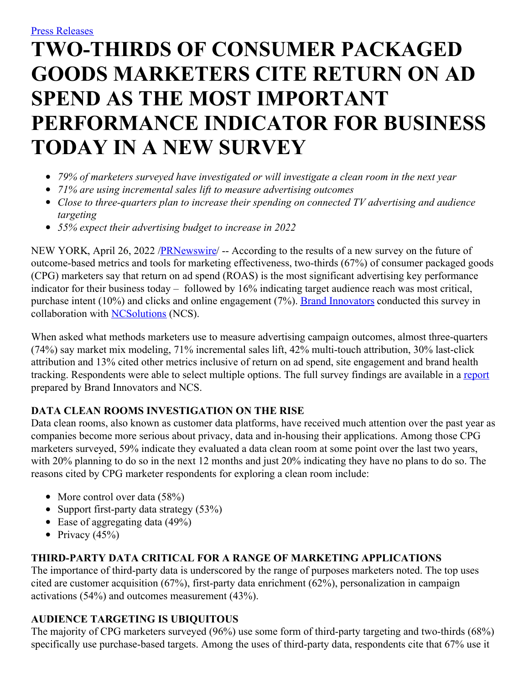# **TWO-THIRDS OF CONSUMER PACKAGED GOODS MARKETERS CITE RETURN ON AD SPEND AS THE MOST IMPORTANT PERFORMANCE INDICATOR FOR BUSINESS TODAY IN A NEW SURVEY**

- *79% of marketers surveyed have investigated or will investigate a clean room in the next year*
- *71% are using incremental sales lift to measure advertising outcomes*
- *Close to three-quarters plan to increase their spending on connected TV advertising and audience targeting*
- *55% expect their advertising budget to increase in 2022*

NEW YORK, April 26, 2022 /**PRNewswire/ --** According to the results of a new survey on the future of outcome-based metrics and tools for marketing effectiveness, two-thirds (67%) of consumer packaged goods (CPG) marketers say that return on ad spend (ROAS) is the most significant advertising key performance indicator for their business today – followed by 16% indicating target audience reach was most critical, purchase intent (10%) and clicks and online engagement (7%). Brand [Innovators](https://c212.net/c/link/?t=0&l=en&o=3515476-1&h=2470845402&u=https%3A%2F%2Fwww.brand-innovators.com%2Flivecast-series&a=Brand+Innovators) conducted this survey in collaboration with [NCSolutions](https://c212.net/c/link/?t=0&l=en&o=3515476-1&h=655747851&u=http%3A%2F%2Fwww.ncsolutions.com%2F&a=NCSolutions) (NCS).

When asked what methods marketers use to measure advertising campaign outcomes, almost three-quarters (74%) say market mix modeling, 71% incremental sales lift, 42% multi-touch attribution, 30% last-click attribution and 13% cited other metrics inclusive of return on ad spend, site engagement and brand health tracking. Respondents were able to select multiple options. The full survey findings are available in a [report](https://c212.net/c/link/?t=0&l=en&o=3515476-1&h=816355498&u=https%3A%2F%2Finfo.ncsolutions.com%2Fcpg_brand_report&a=report) prepared by Brand Innovators and NCS.

# **DATA CLEAN ROOMS INVESTIGATION ON THE RISE**

Data clean rooms, also known as customer data platforms, have received much attention over the past year as companies become more serious about privacy, data and in-housing their applications. Among those CPG marketers surveyed, 59% indicate they evaluated a data clean room at some point over the last two years, with 20% planning to do so in the next 12 months and just 20% indicating they have no plans to do so. The reasons cited by CPG marketer respondents for exploring a clean room include:

- More control over data  $(58%)$
- Support first-party data strategy  $(53\%)$
- Ease of aggregating data  $(49\%)$
- Privacy  $(45\%)$

# **THIRD-PARTY DATA CRITICAL FOR A RANGE OF MARKETING APPLICATIONS**

The importance of third-party data is underscored by the range of purposes marketers noted. The top uses cited are customer acquisition (67%), first-party data enrichment (62%), personalization in campaign activations (54%) and outcomes measurement (43%).

# **AUDIENCE TARGETING IS UBIQUITOUS**

The majority of CPG marketers surveyed (96%) use some form of third-party targeting and two-thirds (68%) specifically use purchase-based targets. Among the uses of third-party data, respondents cite that 67% use it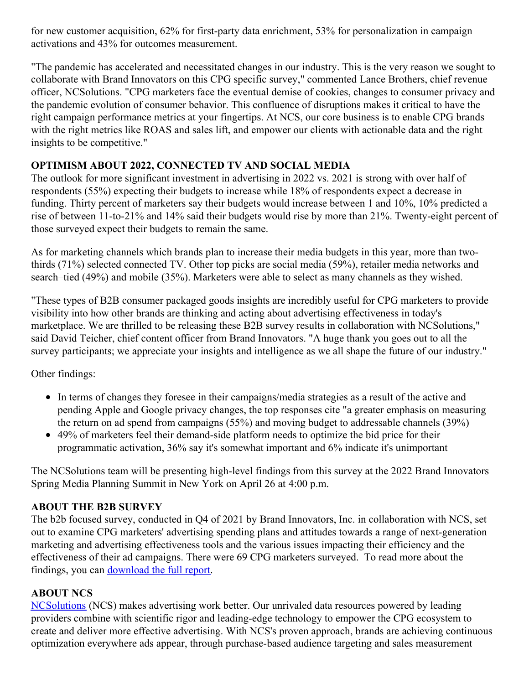for new customer acquisition, 62% for first-party data enrichment, 53% for personalization in campaign activations and 43% for outcomes measurement.

"The pandemic has accelerated and necessitated changes in our industry. This is the very reason we sought to collaborate with Brand Innovators on this CPG specific survey," commented Lance Brothers, chief revenue officer, NCSolutions. "CPG marketers face the eventual demise of cookies, changes to consumer privacy and the pandemic evolution of consumer behavior. This confluence of disruptions makes it critical to have the right campaign performance metrics at your fingertips. At NCS, our core business is to enable CPG brands with the right metrics like ROAS and sales lift, and empower our clients with actionable data and the right insights to be competitive."

### **OPTIMISM ABOUT 2022, CONNECTED TV AND SOCIAL MEDIA**

The outlook for more significant investment in advertising in 2022 vs. 2021 is strong with over half of respondents (55%) expecting their budgets to increase while 18% of respondents expect a decrease in funding. Thirty percent of marketers say their budgets would increase between 1 and 10%, 10% predicted a rise of between 11-to-21% and 14% said their budgets would rise by more than 21%. Twenty-eight percent of those surveyed expect their budgets to remain the same.

As for marketing channels which brands plan to increase their media budgets in this year, more than twothirds (71%) selected connected TV. Other top picks are social media (59%), retailer media networks and search–tied (49%) and mobile (35%). Marketers were able to select as many channels as they wished.

"These types of B2B consumer packaged goods insights are incredibly useful for CPG marketers to provide visibility into how other brands are thinking and acting about advertising effectiveness in today's marketplace. We are thrilled to be releasing these B2B survey results in collaboration with NCSolutions," said David Teicher, chief content officer from Brand Innovators. "A huge thank you goes out to all the survey participants; we appreciate your insights and intelligence as we all shape the future of our industry."

Other findings:

- In terms of changes they foresee in their campaigns/media strategies as a result of the active and pending Apple and Google privacy changes, the top responses cite "a greater emphasis on measuring the return on ad spend from campaigns (55%) and moving budget to addressable channels (39%)
- 49% of marketers feel their demand-side platform needs to optimize the bid price for their programmatic activation, 36% say it's somewhat important and 6% indicate it's unimportant

The NCSolutions team will be presenting high-level findings from this survey at the 2022 Brand Innovators Spring Media Planning Summit in New York on April 26 at 4:00 p.m.

#### **ABOUT THE B2B SURVEY**

The b2b focused survey, conducted in Q4 of 2021 by Brand Innovators, Inc. in collaboration with NCS, set out to examine CPG marketers' advertising spending plans and attitudes towards a range of next-generation marketing and advertising effectiveness tools and the various issues impacting their efficiency and the effectiveness of their ad campaigns. There were 69 CPG marketers surveyed. To read more about the findings, you can **[download](https://c212.net/c/link/?t=0&l=en&o=3515476-1&h=809355680&u=https%3A%2F%2Finfo.ncsolutions.com%2Fcpg_brand_report&a=download+the+full+report)** the full report.

#### **ABOUT NCS**

[NCSolutions](https://c212.net/c/link/?t=0&l=en&o=3515476-1&h=967571267&u=https%3A%2F%2Fwww.ncsolutions.com%2F&a=NCSolutions) (NCS) makes advertising work better. Our unrivaled data resources powered by leading providers combine with scientific rigor and leading-edge technology to empower the CPG ecosystem to create and deliver more effective advertising. With NCS's proven approach, brands are achieving continuous optimization everywhere ads appear, through purchase-based audience targeting and sales measurement